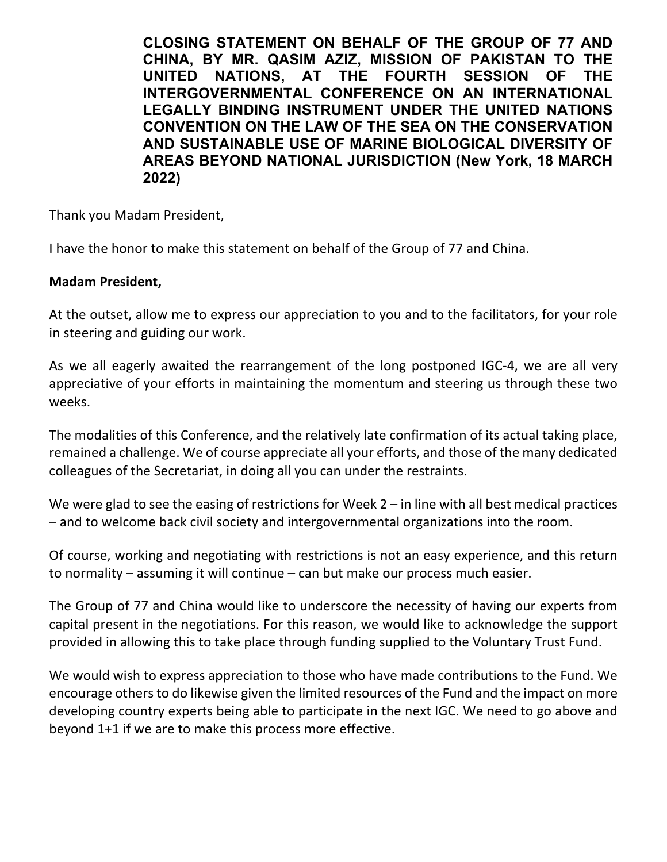**CLOSING STATEMENT ON BEHALF OF THE GROUP OF 77 AND CHINA, BY MR. QASIM AZIZ, MISSION OF PAKISTAN TO THE UNITED NATIONS, AT THE FOURTH SESSION OF THE INTERGOVERNMENTAL CONFERENCE ON AN INTERNATIONAL LEGALLY BINDING INSTRUMENT UNDER THE UNITED NATIONS CONVENTION ON THE LAW OF THE SEA ON THE CONSERVATION AND SUSTAINABLE USE OF MARINE BIOLOGICAL DIVERSITY OF AREAS BEYOND NATIONAL JURISDICTION (New York, 18 MARCH 2022)**

Thank you Madam President,

I have the honor to make this statement on behalf of the Group of 77 and China.

## **Madam President,**

At the outset, allow me to express our appreciation to you and to the facilitators, for your role in steering and guiding our work.

As we all eagerly awaited the rearrangement of the long postponed IGC-4, we are all very appreciative of your efforts in maintaining the momentum and steering us through these two weeks.

The modalities of this Conference, and the relatively late confirmation of its actual taking place, remained a challenge. We of course appreciate all your efforts, and those of the many dedicated colleagues of the Secretariat, in doing all you can under the restraints.

We were glad to see the easing of restrictions for Week 2 – in line with all best medical practices – and to welcome back civil society and intergovernmental organizations into the room.

Of course, working and negotiating with restrictions is not an easy experience, and this return to normality – assuming it will continue – can but make our process much easier.

The Group of 77 and China would like to underscore the necessity of having our experts from capital present in the negotiations. For this reason, we would like to acknowledge the support provided in allowing this to take place through funding supplied to the Voluntary Trust Fund.

We would wish to express appreciation to those who have made contributions to the Fund. We encourage others to do likewise given the limited resources of the Fund and the impact on more developing country experts being able to participate in the next IGC. We need to go above and beyond 1+1 if we are to make this process more effective.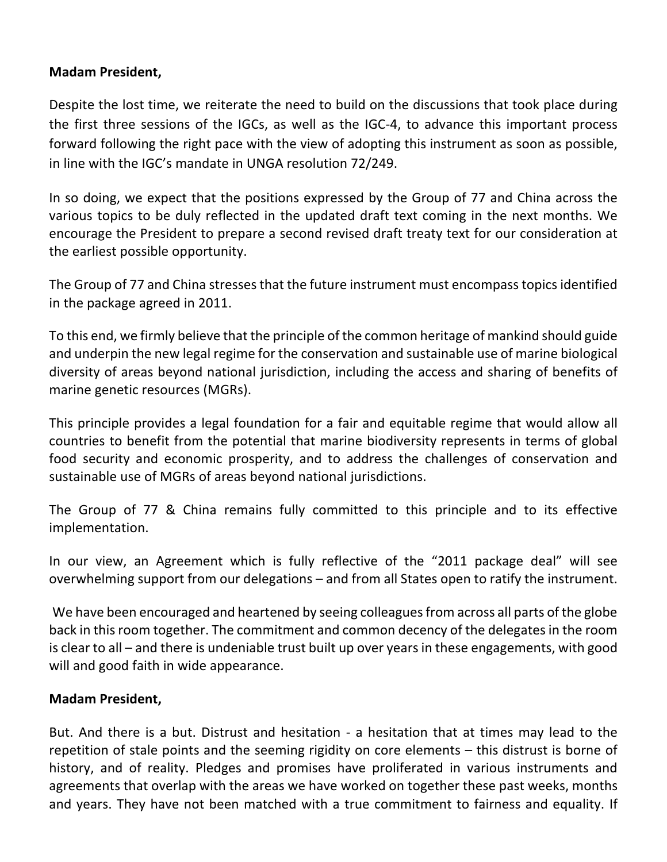## **Madam President,**

Despite the lost time, we reiterate the need to build on the discussions that took place during the first three sessions of the IGCs, as well as the IGC-4, to advance this important process forward following the right pace with the view of adopting this instrument as soon as possible, in line with the IGC's mandate in UNGA resolution 72/249.

In so doing, we expect that the positions expressed by the Group of 77 and China across the various topics to be duly reflected in the updated draft text coming in the next months. We encourage the President to prepare a second revised draft treaty text for our consideration at the earliest possible opportunity.

The Group of 77 and China stresses that the future instrument must encompass topics identified in the package agreed in 2011.

To this end, we firmly believe that the principle of the common heritage of mankind should guide and underpin the new legal regime for the conservation and sustainable use of marine biological diversity of areas beyond national jurisdiction, including the access and sharing of benefits of marine genetic resources (MGRs).

This principle provides a legal foundation for a fair and equitable regime that would allow all countries to benefit from the potential that marine biodiversity represents in terms of global food security and economic prosperity, and to address the challenges of conservation and sustainable use of MGRs of areas beyond national jurisdictions.

The Group of 77 & China remains fully committed to this principle and to its effective implementation.

In our view, an Agreement which is fully reflective of the "2011 package deal" will see overwhelming support from our delegations – and from all States open to ratify the instrument.

We have been encouraged and heartened by seeing colleagues from across all parts of the globe back in this room together. The commitment and common decency of the delegates in the room is clear to all – and there is undeniable trust built up over years in these engagements, with good will and good faith in wide appearance.

## **Madam President,**

But. And there is a but. Distrust and hesitation - a hesitation that at times may lead to the repetition of stale points and the seeming rigidity on core elements – this distrust is borne of history, and of reality. Pledges and promises have proliferated in various instruments and agreements that overlap with the areas we have worked on together these past weeks, months and years. They have not been matched with a true commitment to fairness and equality. If